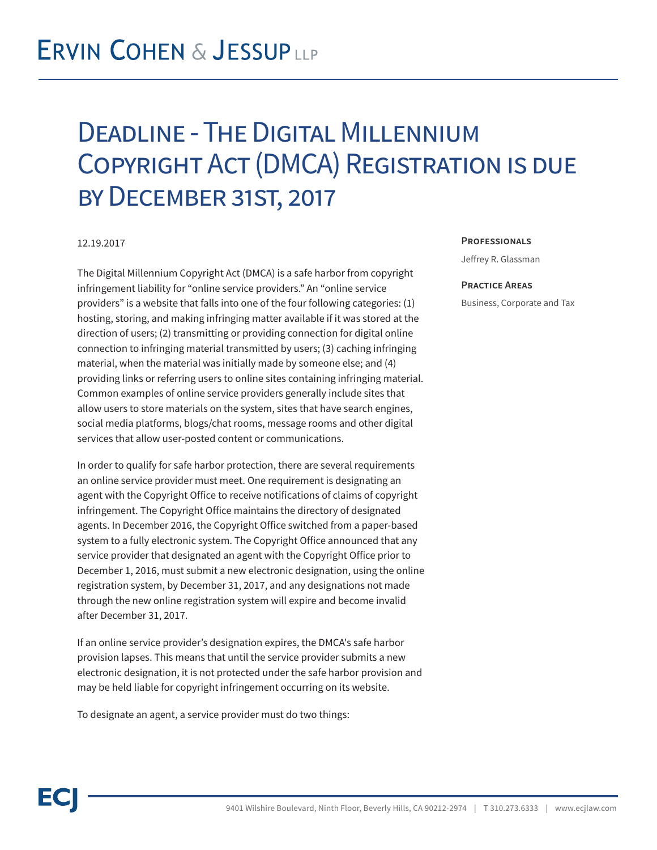## Deadline - The Digital Millennium Copyright Act (DMCA) Registration is due by December 31st, 2017

### 12.19.2017

The Digital Millennium Copyright Act (DMCA) is a safe harbor from copyright infringement liability for "online service providers." An "online service providers" is a website that falls into one of the four following categories: (1) hosting, storing, and making infringing matter available if it was stored at the direction of users; (2) transmitting or providing connection for digital online connection to infringing material transmitted by users; (3) caching infringing material, when the material was initially made by someone else; and (4) providing links or referring users to online sites containing infringing material. Common examples of online service providers generally include sites that allow users to store materials on the system, sites that have search engines, social media platforms, blogs/chat rooms, message rooms and other digital services that allow user-posted content or communications.

In order to qualify for safe harbor protection, there are several requirements an online service provider must meet. One requirement is designating an agent with the Copyright Office to receive notifications of claims of copyright infringement. The Copyright Office maintains the directory of designated agents. In December 2016, the Copyright Office switched from a paper-based system to a fully electronic system. The Copyright Office announced that any service provider that designated an agent with the Copyright Office prior to December 1, 2016, must submit a new electronic designation, using the online registration system, by December 31, 2017, and any designations not made through the new online registration system will expire and become invalid after December 31, 2017.

If an online service provider's designation expires, the DMCA's safe harbor provision lapses. This means that until the service provider submits a new electronic designation, it is not protected under the safe harbor provision and may be held liable for copyright infringement occurring on its website.

To designate an agent, a service provider must do two things:

#### **Professionals**

Jeffrey R. Glassman

#### **Practice Areas**

Business, Corporate and Tax